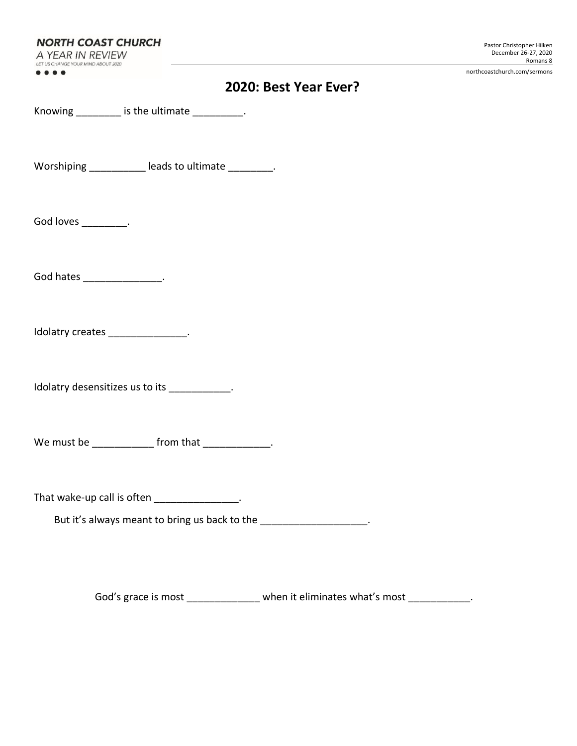**NORTH COAST CHURCH** A YEAR IN REVIEW

LET US CHANGE YOUR MIND ABOUT 2020  $\bullet\bullet\bullet\bullet$ 

northcoastchurch.com/sermons

|  | 2020: Best Year Ever? |  |
|--|-----------------------|--|
|--|-----------------------|--|

Knowing  $\frac{1}{2}$  is the ultimate  $\frac{1}{2}$ .

Worshiping \_\_\_\_\_\_\_\_\_\_\_ leads to ultimate \_\_\_\_\_\_\_\_.

God loves \_\_\_\_\_\_\_\_\_.

God hates \_\_\_\_\_\_\_\_\_\_\_\_\_\_\_\_\_.

Idolatry creates \_\_\_\_\_\_\_\_\_\_\_\_\_\_\_.

Idolatry desensitizes us to its \_\_\_\_\_\_\_\_\_\_\_.

We must be \_\_\_\_\_\_\_\_\_\_\_\_\_\_ from that \_\_\_\_\_\_\_\_\_\_\_\_\_.

That wake-up call is often \_\_\_\_\_\_\_\_\_\_\_\_\_\_\_.

But it's always meant to bring us back to the \_\_\_\_\_\_\_\_\_\_\_\_\_\_\_\_\_\_\_\_.

God's grace is most \_\_\_\_\_\_\_\_\_\_\_\_\_\_ when it eliminates what's most \_\_\_\_\_\_\_\_\_\_\_.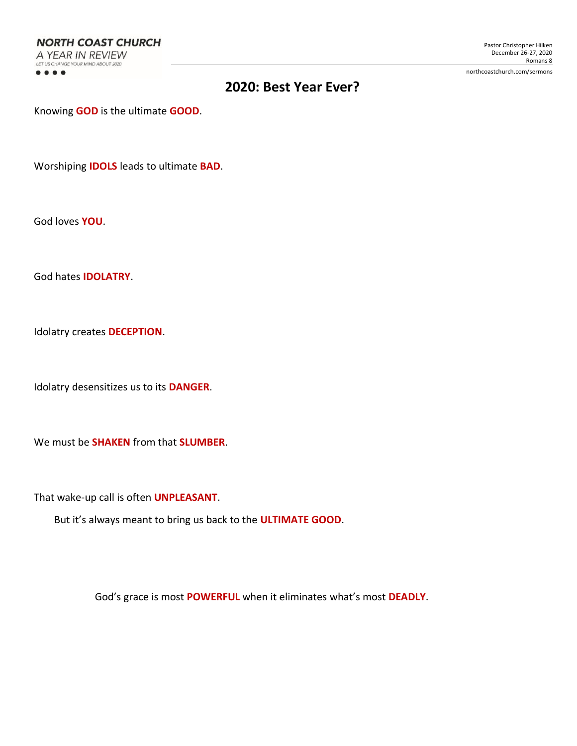**NORTH COAST CHURCH** A YEAR IN REVIEW LET US CHANGE YOUR MIND ABOUT 2020  $\bullet\bullet\bullet\bullet$ 

northcoastchurch.com/sermons

# **2020: Best Year Ever?**

Knowing **GOD** is the ultimate **GOOD**.

Worshiping **IDOLS** leads to ultimate **BAD**.

God loves **YOU**.

God hates **IDOLATRY**.

Idolatry creates **DECEPTION**.

Idolatry desensitizes us to its **DANGER**.

We must be **SHAKEN** from that **SLUMBER**.

That wake-up call is often **UNPLEASANT**.

But it's always meant to bring us back to the **ULTIMATE GOOD**.

God's grace is most **POWERFUL** when it eliminates what's most **DEADLY**.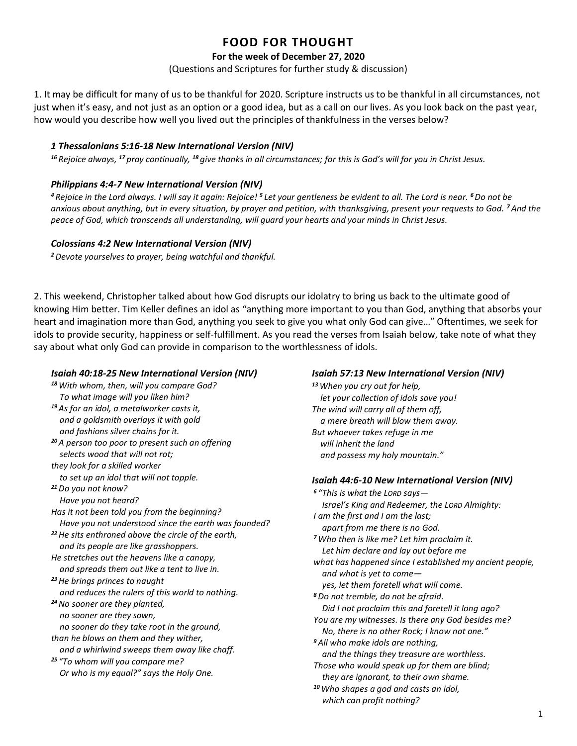# **FOOD FOR THOUGHT**

### **For the week of December 27, 2020**

(Questions and Scriptures for further study & discussion)

1. It may be difficult for many of us to be thankful for 2020. Scripture instructs us to be thankful in all circumstances, not just when it's easy, and not just as an option or a good idea, but as a call on our lives. As you look back on the past year, how would you describe how well you lived out the principles of thankfulness in the verses below?

#### *1 Thessalonians 5:16-18 New International Version (NIV)*

*<sup>16</sup> Rejoice always, <sup>17</sup> pray continually, <sup>18</sup> give thanks in all circumstances; for this is God's will for you in Christ Jesus.*

#### *Philippians 4:4-7 New International Version (NIV)*

*<sup>4</sup> Rejoice in the Lord always. I will say it again: Rejoice! <sup>5</sup> Let your gentleness be evident to all. The Lord is near. <sup>6</sup>Do not be anxious about anything, but in every situation, by prayer and petition, with thanksgiving, present your requests to God. <sup>7</sup>And the peace of God, which transcends all understanding, will guard your hearts and your minds in Christ Jesus.*

#### *Colossians 4:2 New International Version (NIV)*

*<sup>2</sup>Devote yourselves to prayer, being watchful and thankful.*

2. This weekend, Christopher talked about how God disrupts our idolatry to bring us back to the ultimate good of knowing Him better. Tim Keller defines an idol as "anything more important to you than God, anything that absorbs your heart and imagination more than God, anything you seek to give you what only God can give…" Oftentimes, we seek for idols to provide security, happiness or self-fulfillment. As you read the verses from Isaiah below, take note of what they say about what only God can provide in comparison to the worthlessness of idols.

#### *Isaiah 40:18-25 New International Version (NIV)*

*<sup>18</sup>With whom, then, will you compare God? To what image will you liken him? <sup>19</sup> As for an idol, a metalworker casts it, and a goldsmith overlays it with gold and fashions silver chains for it. <sup>20</sup> A person too poor to present such an offering selects wood that will not rot; they look for a skilled worker to set up an idol that will not topple. <sup>21</sup>Do you not know? Have you not heard? Has it not been told you from the beginning? Have you not understood since the earth was founded? <sup>22</sup>He sits enthroned above the circle of the earth, and its people are like grasshoppers. He stretches out the heavens like a canopy, and spreads them out like a tent to live in. <sup>23</sup>He brings princes to naught and reduces the rulers of this world to nothing. <sup>24</sup>No sooner are they planted, no sooner are they sown, no sooner do they take root in the ground, than he blows on them and they wither, and a whirlwind sweeps them away like chaff. <sup>25</sup> "To whom will you compare me? Or who is my equal?" says the Holy One.*

### *Isaiah 57:13 New International Version (NIV)*

*<sup>13</sup>When you cry out for help, let your collection of idols save you! The wind will carry all of them off, a mere breath will blow them away. But whoever takes refuge in me will inherit the land and possess my holy mountain."*

#### *Isaiah 44:6-10 New International Version (NIV)*

*<sup>6</sup> "This is what the LORD says— Israel's King and Redeemer, the LORD Almighty: I am the first and I am the last; apart from me there is no God. <sup>7</sup>Who then is like me? Let him proclaim it. Let him declare and lay out before me what has happened since I established my ancient people, and what is yet to come yes, let them foretell what will come. <sup>8</sup>Do not tremble, do not be afraid. Did I not proclaim this and foretell it long ago? You are my witnesses. Is there any God besides me? No, there is no other Rock; I know not one." <sup>9</sup> All who make idols are nothing, and the things they treasure are worthless. Those who would speak up for them are blind; they are ignorant, to their own shame. <sup>10</sup>Who shapes a god and casts an idol, which can profit nothing?*